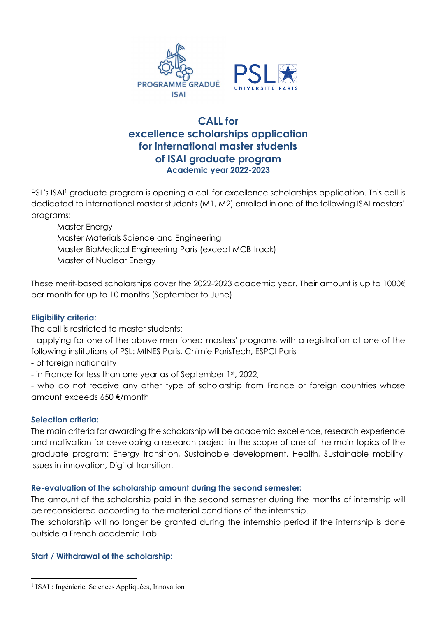

# **CALL for excellence scholarships application for international master students of ISAI graduate program Academic year 2022-2023**

PSL's ISAI1 graduate program is opening a call for excellence scholarships application. This call is dedicated to international master students (M1, M2) enrolled in one of the following ISAI masters' programs:

 Master Energy Master Materials Science and Engineering Master BioMedical Engineering Paris (except MCB track) Master of Nuclear Energy

These merit-based scholarships cover the 2022-2023 academic year. Their amount is up to 1000€ per month for up to 10 months (September to June)

## **Eligibility criteria:**

The call is restricted to master students:

- applying for one of the above-mentioned masters' programs with a registration at one of the following institutions of PSL: MINES Paris, Chimie ParisTech, ESPCI Paris

- of foreign nationality
- in France for less than one year as of September 1st, 2022,

- who do not receive any other type of scholarship from France or foreign countries whose amount exceeds 650 €/month

#### **Selection criteria:**

The main criteria for awarding the scholarship will be academic excellence, research experience and motivation for developing a research project in the scope of one of the main topics of the graduate program: Energy transition, Sustainable development, Health, Sustainable mobility, Issues in innovation, Digital transition.

#### **Re-evaluation of the scholarship amount during the second semester:**

The amount of the scholarship paid in the second semester during the months of internship will be reconsidered according to the material conditions of the internship.

The scholarship will no longer be granted during the internship period if the internship is done outside a French academic Lab.

#### **Start / Withdrawal of the scholarship:**

<sup>&</sup>lt;sup>1</sup> ISAI : Ingénierie, Sciences Appliquées, Innovation